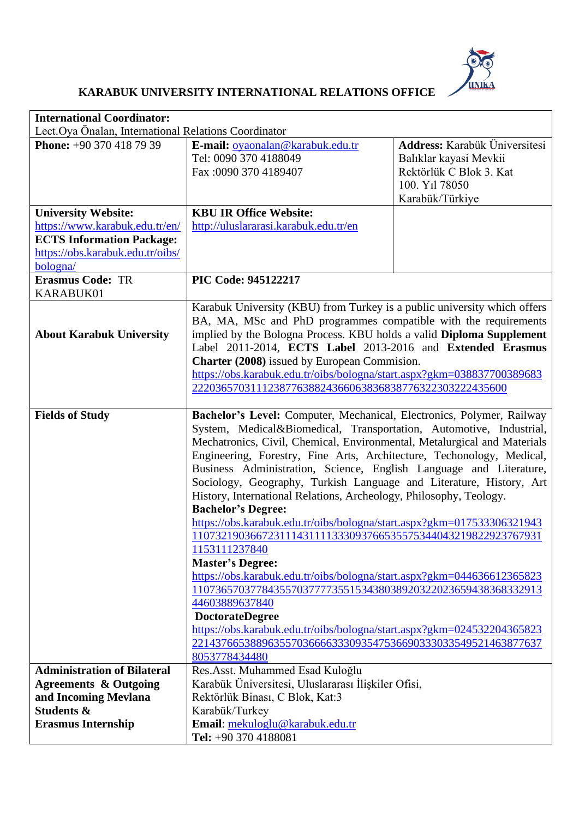

## **KARABUK UNIVERSITY INTERNATIONAL RELATIONS OFFICE**

| <b>International Coordinator:</b>                            |                                                                                                                                           |                               |  |
|--------------------------------------------------------------|-------------------------------------------------------------------------------------------------------------------------------------------|-------------------------------|--|
| Lect.Oya Önalan, International Relations Coordinator         |                                                                                                                                           |                               |  |
| <b>Phone:</b> $+90,370,418,79,39$                            | E-mail: oyaonalan@karabuk.edu.tr                                                                                                          | Address: Karabük Üniversitesi |  |
|                                                              | Tel: 0090 370 4188049                                                                                                                     | Balıklar kayasi Mevkii        |  |
|                                                              | Fax: 0090 370 4189407                                                                                                                     | Rektörlük C Blok 3. Kat       |  |
|                                                              |                                                                                                                                           | 100. Y <sub>1</sub> l 78050   |  |
|                                                              | <b>KBU IR Office Website:</b>                                                                                                             | Karabük/Türkiye               |  |
| <b>University Website:</b><br>https://www.karabuk.edu.tr/en/ | http://uluslararasi.karabuk.edu.tr/en                                                                                                     |                               |  |
| <b>ECTS Information Package:</b>                             |                                                                                                                                           |                               |  |
| https://obs.karabuk.edu.tr/oibs/                             |                                                                                                                                           |                               |  |
| bologna/                                                     |                                                                                                                                           |                               |  |
| <b>Erasmus Code: TR</b>                                      | PIC Code: 945122217                                                                                                                       |                               |  |
| KARABUK01                                                    |                                                                                                                                           |                               |  |
|                                                              | Karabuk University (KBU) from Turkey is a public university which offers                                                                  |                               |  |
|                                                              | BA, MA, MSc and PhD programmes compatible with the requirements                                                                           |                               |  |
| <b>About Karabuk University</b>                              | implied by the Bologna Process. KBU holds a valid Diploma Supplement                                                                      |                               |  |
|                                                              | Label 2011-2014, ECTS Label 2013-2016 and Extended Erasmus                                                                                |                               |  |
|                                                              | <b>Charter (2008)</b> issued by European Commision.<br>https://obs.karabuk.edu.tr/oibs/bologna/start.aspx?gkm=038837700389683             |                               |  |
|                                                              | 222036570311123877638824366063836838776322303222435600                                                                                    |                               |  |
|                                                              |                                                                                                                                           |                               |  |
| <b>Fields of Study</b>                                       | Bachelor's Level: Computer, Mechanical, Electronics, Polymer, Railway                                                                     |                               |  |
|                                                              | System, Medical&Biomedical, Transportation, Automotive, Industrial,                                                                       |                               |  |
|                                                              | Mechatronics, Civil, Chemical, Environmental, Metalurgical and Materials                                                                  |                               |  |
|                                                              | Engineering, Forestry, Fine Arts, Architecture, Techonology, Medical,                                                                     |                               |  |
|                                                              | Business Administration, Science, English Language and Literature,                                                                        |                               |  |
|                                                              | Sociology, Geography, Turkish Language and Literature, History, Art<br>History, International Relations, Archeology, Philosophy, Teology. |                               |  |
|                                                              | <b>Bachelor's Degree:</b>                                                                                                                 |                               |  |
|                                                              | https://obs.karabuk.edu.tr/oibs/bologna/start.aspx?gkm=017533306321943                                                                    |                               |  |
|                                                              | 110732190366723111431111333093766535575344043219822923767931                                                                              |                               |  |
|                                                              | 1153111237840                                                                                                                             |                               |  |
|                                                              | <b>Master's Degree:</b>                                                                                                                   |                               |  |
|                                                              | https://obs.karabuk.edu.tr/oibs/bologna/start.aspx?gkm=044636612365823                                                                    |                               |  |
|                                                              | 110736570377843557037777355153438038920322023659438368332913                                                                              |                               |  |
|                                                              | 44603889637840                                                                                                                            |                               |  |
|                                                              | <b>DoctorateDegree</b><br>https://obs.karabuk.edu.tr/oibs/bologna/start.aspx?gkm=024532204365823                                          |                               |  |
|                                                              | 221437665388963557036666333093547536690333033549521463877637                                                                              |                               |  |
|                                                              | 8053778434480                                                                                                                             |                               |  |
| <b>Administration of Bilateral</b>                           | Res.Asst. Muhammed Esad Kuloğlu                                                                                                           |                               |  |
| <b>Agreements &amp; Outgoing</b>                             | Karabük Üniversitesi, Uluslararası İlişkiler Ofisi,                                                                                       |                               |  |
| and Incoming Mevlana                                         | Rektörlük Binası, C Blok, Kat:3                                                                                                           |                               |  |
| <b>Students &amp;</b>                                        | Karabük/Turkey                                                                                                                            |                               |  |
| <b>Erasmus Internship</b>                                    | Email: mekuloglu@karabuk.edu.tr                                                                                                           |                               |  |
|                                                              | Tel: +90 370 4188081                                                                                                                      |                               |  |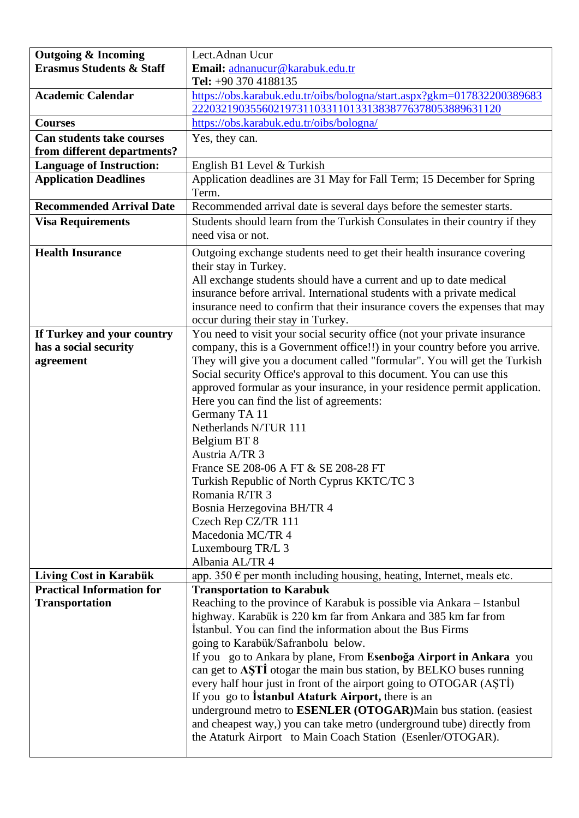| <b>Outgoing &amp; Incoming</b>      | Lect.Adnan Ucur                                                                                                                       |  |
|-------------------------------------|---------------------------------------------------------------------------------------------------------------------------------------|--|
| <b>Erasmus Students &amp; Staff</b> | Email: adnanucur@karabuk.edu.tr                                                                                                       |  |
|                                     | Tel: $+90$ 370 4188135                                                                                                                |  |
| <b>Academic Calendar</b>            | https://obs.karabuk.edu.tr/oibs/bologna/start.aspx?gkm=017832200389683                                                                |  |
|                                     | 22203219035560219731103311013313838776378053889631120                                                                                 |  |
| <b>Courses</b>                      | https://obs.karabuk.edu.tr/oibs/bologna/                                                                                              |  |
| <b>Can students take courses</b>    | Yes, they can.                                                                                                                        |  |
| from different departments?         |                                                                                                                                       |  |
| <b>Language of Instruction:</b>     | English B1 Level & Turkish                                                                                                            |  |
| <b>Application Deadlines</b>        | Application deadlines are 31 May for Fall Term; 15 December for Spring<br>Term.                                                       |  |
| <b>Recommended Arrival Date</b>     | Recommended arrival date is several days before the semester starts.                                                                  |  |
| <b>Visa Requirements</b>            | Students should learn from the Turkish Consulates in their country if they                                                            |  |
|                                     | need visa or not.                                                                                                                     |  |
| <b>Health Insurance</b>             | Outgoing exchange students need to get their health insurance covering                                                                |  |
|                                     | their stay in Turkey.                                                                                                                 |  |
|                                     | All exchange students should have a current and up to date medical                                                                    |  |
|                                     | insurance before arrival. International students with a private medical                                                               |  |
|                                     | insurance need to confirm that their insurance covers the expenses that may                                                           |  |
|                                     | occur during their stay in Turkey.                                                                                                    |  |
| If Turkey and your country          | You need to visit your social security office (not your private insurance                                                             |  |
| has a social security               | company, this is a Government office!!) in your country before you arrive.                                                            |  |
| agreement                           | They will give you a document called "formular". You will get the Turkish                                                             |  |
|                                     | Social security Office's approval to this document. You can use this                                                                  |  |
|                                     | approved formular as your insurance, in your residence permit application.                                                            |  |
|                                     | Here you can find the list of agreements:                                                                                             |  |
|                                     | Germany TA 11                                                                                                                         |  |
|                                     | Netherlands N/TUR 111                                                                                                                 |  |
|                                     | Belgium BT 8                                                                                                                          |  |
|                                     | Austria A/TR 3                                                                                                                        |  |
|                                     | France SE 208-06 A FT & SE 208-28 FT                                                                                                  |  |
|                                     | Turkish Republic of North Cyprus KKTC/TC 3<br>Romania R/TR 3                                                                          |  |
|                                     | Bosnia Herzegovina BH/TR 4                                                                                                            |  |
|                                     | Czech Rep CZ/TR 111                                                                                                                   |  |
|                                     | Macedonia MC/TR 4                                                                                                                     |  |
|                                     | Luxembourg TR/L 3                                                                                                                     |  |
|                                     | Albania AL/TR 4                                                                                                                       |  |
| Living Cost in Karabük              | app. 350 $\epsilon$ per month including housing, heating, Internet, meals etc.                                                        |  |
| <b>Practical Information for</b>    | <b>Transportation to Karabuk</b>                                                                                                      |  |
| <b>Transportation</b>               | Reaching to the province of Karabuk is possible via Ankara – Istanbul                                                                 |  |
|                                     | highway. Karabük is 220 km far from Ankara and 385 km far from                                                                        |  |
|                                     | Istanbul. You can find the information about the Bus Firms                                                                            |  |
|                                     | going to Karabük/Safranbolu below.                                                                                                    |  |
|                                     | If you go to Ankara by plane, From Esenboğa Airport in Ankara you                                                                     |  |
|                                     | can get to ASTI otogar the main bus station, by BELKO buses running                                                                   |  |
|                                     | every half hour just in front of the airport going to OTOGAR (ASTI)                                                                   |  |
|                                     | If you go to <b>Istanbul Ataturk Airport</b> , there is an                                                                            |  |
|                                     | underground metro to <b>ESENLER</b> (OTOGAR) Main bus station. (easiest                                                               |  |
|                                     | and cheapest way,) you can take metro (underground tube) directly from<br>the Ataturk Airport to Main Coach Station (Esenler/OTOGAR). |  |
|                                     |                                                                                                                                       |  |